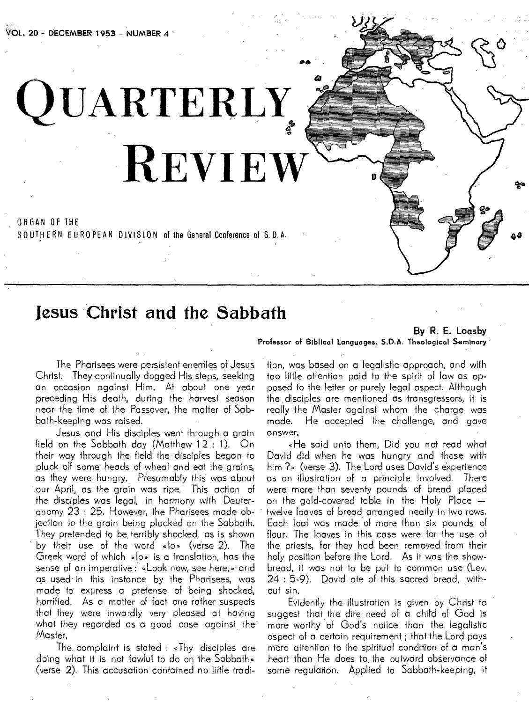**VOL. 20 - DECEMBER 1953 - NUMBER 4** 

REVIEW

ORGAN OF THE SOUTHERN EUROPEAN DIVISION of the General Conference of S.D.A.

 $\bf{UARTERLY}$ 

# **Jesus Christ and the Sabbath**

The Pharisees were persistent enemies of Jesus Christ. They continually dogged His steps, seeking an occasion against Him. At about one year preceding His death, during the harvest season near the time of the Passover, the matter of Sabbath-keeping was raised.

Jesus and His disciples went through a grain field on the Sabbath day (Matthew 12 : 1). On their way through the field the disciples began to pluck off some heads of wheat and eat the grains, as they were hungry. Presumably this was about .our April, as the grain was ripe. This action of the disciples was legal, in harmony with Deuteronomy 23 : 25. However, the Pharisees made objection to the grain being plucked on the Sabbath. They pretended to be. terribly shocked, as is shown by their use of the word  $\triangleleft$  lo» (verse 2). The Greek word of which «lo» is a translation, has the sense of an imperative: «Look now, see here,» and as used in this instance by the Pharisees, was made to express a pretense of being shocked, horrified. As a matter of fact one rather suspects that they were inwardly very pleased at having what they regarded as a good case against the Master.

The complaint is stated : «Thy disciples are doing what it is not lawful to do on the Sabbath» (verse 2). This accusation contained no little tradi-

**Professor of Biblical Languages, S.D.A. Theological Seminary** 

**By R. E. Loasby** 

tion, was based on a legalistic approach, and with too little attention paid to the spirit of law as opposed to the letter or purely legal aspect. Although the disciples are mentioned as transgressors, it is really the Master against whom the charge was made. He accepted the challenge, and gave answer.

.He said unto them, Did you not read what David did when he was hungry and those with him ?» (verse 3). The Lord uses David's experience as an illustration of a principle involved. There were more than seventy pounds of bread placed on the gold-covered table in the Holy Place twelve loaves of bread arranged neatly in two rows. Each loaf was made of more than six pounds of flour. The loaves in this case were for the use of the priests, for they had been removed from their holy position before the Lord. As it was the showbread, it was not to be put to common use (Lev. 24 : 5-9). David ate of this sacred bread, without sin.

Evidently the illustration is given by Christ to suggest that the dire need of a child of God is more worthy of God's notice than the legalistic aspect of a certain requirement; that the Lord pays more attention to the spiritual condition of a man's heart than He does to the outward observance of some regulation. Applied to Sabbath-keeping, it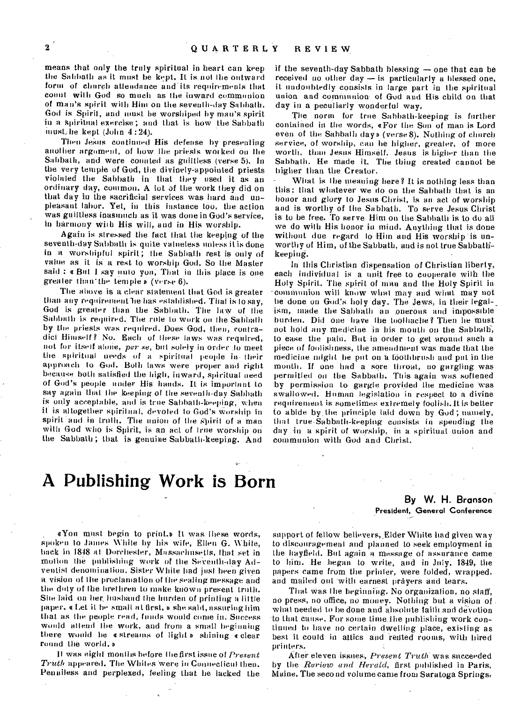means that only the truly spiritual in heart can keep the Sabbath as it must be kept. It is. not the outward form of church attendance and its requirements that count with God so much as the inward communion of man's spirit with Him on the seventh-day Sabbath. God is Spirit, and must be worshiped by man's spirit in a spiritual exercise; and that is how the Sabbath must, he kept (John 4:24).

Then Jesus continued His defense by presenting another argument, of how the priests wolked on the Sabbath, and were counted as guiltless (verse 5). In the very temple of God, the divinely-appointed priests violated the Sabbath in that, they used it as an ordinary day, common. A lot of the work they did on that day in the sacrificial services was hard and unpleasant labor. Yet, in this instance too, the action was guiltless inasmuch as it was done in God's service, in harmony with His will, and in His worship.

Again is stressed the fact that the keeping of the seventh-day Sabbath is quite valueless unless it is done in a worshipful spirit; the Sabbath rest is only of value as it is a rest to worship God. So the Master said : « But I say unto you, That in this place is one greater thaw the temples (verse 6).

The above is a clear statement that God is greater than any requirement he has established. That is to say, God is greater than the Sabbath. The law of the Sabbath is required. The rule to work on the Sabbath by the priests was required. Does God, then, contradict Himself? No. Each of these laws was required, not for itself alone, per se, but solely in order to meet the spiritual needs of a spiritual people in, their approach to God. Both laws were proper and right because both satisfied the high, inward, spiritual need of God's people under His hands. It is important to say again that the keeping of the seventh-day Sabbath is only acceptable, and is true Sabbath-keeping, when it is altogether spiritual, devoted to God's worship in spirit and in truth. The union of the spirit of a man with God who is Spirit, is an act of true worship on the Sabbath ; that is genuine Sabbath-keeping. And

if the seventh-day Sabbath blessing — one that can be received no other day — is particularly a blessed one, it undoubtedly consists in large part in the spiritual union and cominunion. of God and His child on that day in a peculiarly wonderful way.

The norm for true Sabbath-keeping is further contained in the words, aFor the Son of man is Lord even of the Sabbath day» (verse 8). Nothing of church service, of worship, can be higher, greater, of more worth, than Jesus Himself. Jesus is higher than the Sabbath. He made it. The thing created cannot be higher than the Creator.

What is the meaning here? It is nothing less than this: that whatever we do on the Sabbath that is an honor and glory to Jesus Christ, is an act of worship and is worthy of the Sabbath. To serve Jesus Christ is to be free. To serve Him on the Sabbath is to do all we do with His honor in mind. Anything that is done without due regard to Him and His worship is unworthy of Him, of the Sabbath, and is not true Sabbatlikeepiug.

In this Christian dispensation of Christian liberty, each individual is a unit free to cooperate with the Holy Spirit. The spirit of man and the Holy Spirit in 'communion will know what may and what may not he done on God's holy day. The Jews, in their legal-\_ ism, made the Sabbath an onerous and impossible burden. Did one have the toothache? Then he must not hold any medicine in his mouth on the Sabbath, to ease the pain. But in order to get around such a piece of foolishness, the amendment was made that the medicine might tie put on a toothbrush and put in the mouth. If one had a sore throat, no gargling was permitted on the Sabbath. This again was softened by permission to gargle provided the medicine Was swallowed. Human legislation in respect to a divine requirement is sometimes extremely foolish. It is better to abide by. the principle laid down by God ; namely, that true-Sabbath-keeping consists in spending the day 'in a spirit of worship, in a spiritual union and communion with God and Christ.

# **A Publishing Work is Born**

## **By W. H. Branson**  President, General Conference

aYou must begin to prints It was these words, spoken to James White by his wife, Ellen G. While, back in 1848 at Dorchester, Massachusetts, that set in motion the publishing work of the Seventh-day Adventist denomination. Sister White had just been given a vision of the proclamation of the sealing message and the duty of the brethren to make known present truth. She laid on her, husband the burden of printing a little paper. « Let it he small at first, » she said, assuring him that as the people read, funds would come in. Success would attend the work, and from a small beginning there would be « streams of light » shining « clear roond the world.»

It was eight months before the first issue of *Present Truth* appeared. The Whiles were in Connecticut then. Penniless and perplexed, feeling that he lacked the

support of fellow believers, Elder White had given way to discouragement and planned to seek employment in the hayfield. But again a message of assurance came to him. He began to write, and in July, 1849, the papers came from the printer, were folded, wrapped, and mailed out 'with earnest prayers and tears.

That was the beginning. No organization, no staff, no press, no office, no money. Nothing but a vision of what needed to be done and absolute faith and devotion to that cause. For some time the publishing work continued to have no certain dwelling place, existing as best it could in attics and rented rooms, with hired printers.

After eleven issues-, *Present Truth* was succeeded by the *RerieW and Herald,* first published in Paris, Maine. The second volume came from Saratoga Springs,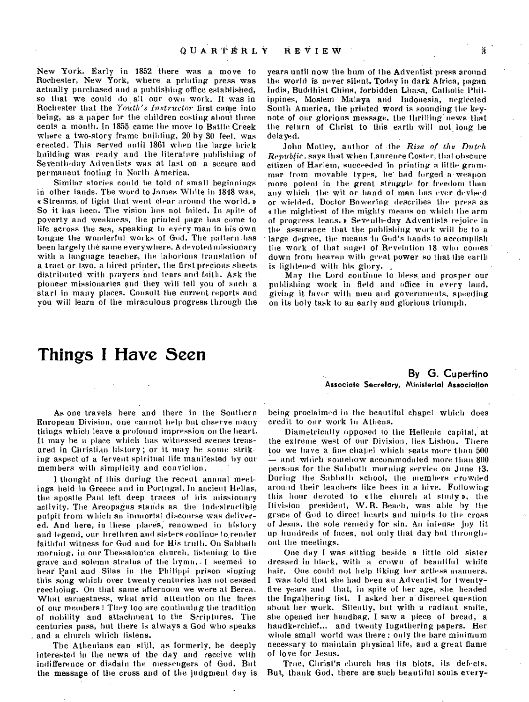New York. Early in 1852 there was a move to Rochester, New York, where a printing press was actually purchased and a publishing office established, so that we could do all our own work. It was in Rochester that the *Youth's Instructor* first came into being, as a paper for the children costing about three cents a month. In 1855 came the move to Battle Creek where a two-story frame building, 20 by 30 feel, was erected. This served until 1861 when the large brick building was ready and the literature publishing of Seventh-day Adventists was at last on a secure and permanent footing in North America.

Similar stories could be told of small beginnings in other lands. The word to James White, in 1848 was, a Streams, of light that went clear around the world. s So it has been. The vision has not failed. In spite of poverty and weakness, the printed page has come to life across the sea, speaking to every man in his own tongue the wonderful works of God. The pattern .has been largely the same everywhere. A devoted missionary with a language teacher, the laborious translation of a tract or two, a hired printer, the first precious sheets distributed with prayers and tears and faith. Ask the pioneer missionaries and they will tell you of such a start in many places. Consult the current reports and you will learn of the miraculous progress through the

years until now the hum of the Adventist press around the world is never silent. Today in dark Africa, pagan India, Buddhist China, forbidden Lhasa, Catholic Philippines, Moslem Malaya and Indonesia, neglected South America, the printed word is sounding the keynote of our glorious message, the thrilling news that the return of Christ to this earth will not long be delayed.

John Motley, author of the *Rise of the Dutch Republic,* says that when Laurence Coster, that obscure citizen of Harlem, succeeded in printing a little grammar from movable types, he' had forged a weapon more potent in the great struggle for freedom than any which the wit or hand of man. has ever devised or wielded, Doctor Bowering describes the press as a the mightiest of the mighty means on which the arm of progress leans. s Seventh-day Adventists rejoice in the assurance that the publishing work will be to a large degree, tire means in God's hands to accomplish the work of that angel of Revelation 18 who comes down from heaven with great power so that the earth is lightened with his glory.

May the Lord continue to bless, and prosper our publishing work in field and office in every land, giving it favor with men and governments, speeding on its holy task to an early and glorious triumph.

# **Things I Have Seen**

As one travels here and there in the Southern European Division, one cannot help but observe many things which leave a profound impression on the heart. It may he a place which has witnessed scenes treasured in Christian history; or it may be some striking aspect of a fervent spiritual life manifested by our members with simplicity and conviction.

I thought of this during the recent annual meetings held in Greece and in Portugal. In ancient Hellas, the apostle Paul left deep traces of his missionary activity. The Areopagus stands as the indestructible pulpit from which an immortal discourse was delivered. And here, in these places; renowned in history and legend, our brethren and sisters continue to render faithful witness for God and for His truth. On Sabbath morning, in our Thessalonica church, listening to the grave and solemn strains of the hymn,- I seemed to hear Paul and Silas in the Philippi prison singing this song which over twenty centuries has not, ceased reechoing. On that same afternoon we were at Berea. What earnestness, what avid attention on the faces of our members! They too are continuing the tradition of nobility and attachment to the Scriptures. The centuries pass, hut there is always a God who speaks and a church which listens.

The Athenians can siill, as formerly, be deeply interested in the news of the day and receive with indifference or disdain the messengers of God. But the message of the cross and of the judgment day is

## **By G. Cupertino**  Associate Secretary, Ministerial Association

being proclaimed in the beautiful chapel which does credit. to our work in Athens.

Diametrically opposed to the Hellenic capital, at the extreme west of our Division, lies Lisboa. There too we have a fine chapel which seats more than 500  $-$  and which somehow accommodated more than  $800$ persons for the Sabbath morning service on June 13. During the Sabbath school, the members crowded around their teachers like bees in a hive. Following this hour devoted to «the church at study », the Division president, W. R. Beach, was able by the grace of God to direct hearts and minds to the cross of Jesus, the sole remedy for sin. An intense joy lit up hundreds of faces, not only that day but throughout the meetings.

One day I was silting beside a little old sister dressed in black, with a crown of beautiful while hair, One could not help liking her artless manners. I was told that she had been an Adventist for twentyfive years and that, in spite of her age, she. headed the Ingalhering list. I asked her a discreet question about her work. Silently, but, with a radiant smile, she opened her handbag. I saw a piece of bread, a handkerchief... and twenty Ingathering papers. Her. whole small world was there: only the bare minimum necessary to maintain physical life, and a great flame of love for Jesus.

True, Christ's church has its blots, its defects. But, thank God, there are such beautiful souls every-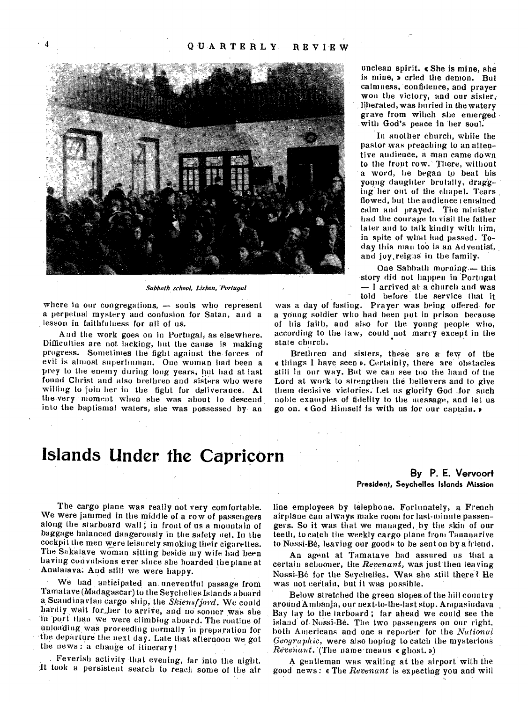## QUARTERLY REVIEW



*Sabbath school, Lisbon, Portugal* 

where in our congregations, — souls who represent a perpetual mystery and confusion for Satan, and a lesson in faithfulness for all of us:

And the work goes on in Portugal, as elsewhere. Difficulties are not lacking, hut the cause is making progress. Sometimes the fight against the forces of evil is almost superhuman. One woman had been a prey to the enemy during long years, but had at last found Christ and also brethren and sisters who were willing to join her in the fight for deliverance. At the-very moment when she was about to descend, into the baptismal waters, she was possessed by an

unclean spirit. a She is mine, she is mine,  $\triangleright$  cried the demon. But calmness, confidence, and prayer won the victory, and our sister, liberated, was buried in the watery grave from wilich she emerged with God's peace in her soul.

In another church, while the pastor was preaching to an attentive audience, a man came down to the front row.' There, without a word, he began to beat his young daughter brutally, dragging her out of the chapel. Tears flowed, but the audience remained calm and prayed. The minister. had the courage to visit the father later and to talk kindly with him, in spite of what had passed. Today this man too is an Adventist, and joy, reigns in the family.

One Sabbath morning,— this -story did not happen in Portugal  $-$  I arrived at a church and was told before the service that it

was a day of fasting. Prayer was being offered- for a young soldier who bad been put in prison because of his faith, and also for the young people who, according to the law, could not marry except in the state church.

Brethren and sisters, these are a few of the a things I have seen *v*. Certainly, there are obstacles still in our way. But we can see too the hand of the Lord at work to strengthen the believers and to give them decisive victories. Let us glorify God for such noble examples of fidelity to the message, and let us go on. «God Himself is with us for our captain. »

# **Islands Under the Capricorn**

The cargo plane was really not very comfortable. We were jammed in the middle of a row of passengers along the starboard wall; in front of us a mountain of baggage balanced dangerously in the safety net. In the cockpit the men were leisurely smoking their cigarettes. The Sakalave woman sitting beside my wife had been having convulsions ever since she boarded the plane at Analaiava: And still we were happy.

We had anticipated an uneventful passage from Tamatave (Madagascar) to the Seychelles Islands aboard a Scandinavian cargo Ship; the *Skiensfjord.* We could hardly wait for her to arrive, and no sooner was she 'in 'port than we were climbing aboard. The-routine of unloading was proceeding normally in preparation for 'the departure the next day. Late that afternoon we got the news : a change of itinerary!

Feverish activity that evening, far into the night. :It took a persistent search to reach some of the air

## **By P. E. Vervoort**  President, Seychelles Islands Mission

line employees by telephone. Fortunately, a French airplane can always make room for last-minute passengers. So it was that we managed, by the skin of our teeth, to catch the weekly cargo plane from Tananarive to Nossi-Be, leaving our goods to be sent on by a friend.

An agent at Tamatave had assured us that a certain schooner, the *Revenant*, was just then leaving Nossi-Bé for the Seychelles. Was she still there? He was not certain, but it was possible.

Below stretched the green slopes\_of the hill country around Arnbanja, our next-to-the-last stop. Anipasindava Bay lay to the larboard ; far ahead we could see the island of- Nossi-Be. The two passengers on our right, both Americans and one a reporter for the *National*  Geographic, were also hoping to catch the mysterious *<i>evenant.* (The name means  $\alpha$  ghost.  $\alpha$ )

A gentleman was waiting at the airport with the good news: « The *Revenant* is expecting you and will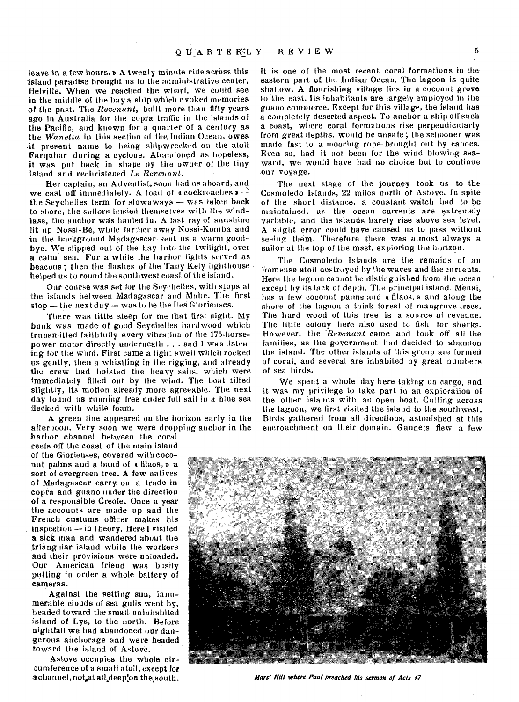leave in a few hours. » A twenty-minute ride across this island paradise brought us to the administrative center, Helville. When we reached the wharf, we could see in the middle of the hay a ship which evoked memories of the past. The *Revenant,* built more than fifty years ago in Australia for the copra traffic in the islands of the Pacific, and known for a quarter of a century as the *Wanetta* in this section of the Indian Ocean, owes -it present name to being shipwrecked on the atoll Farquhar during a cyclone. Abandoned as hopeless, it was put hack in shape by the owner of the tiny island and rechristened *Le Revenant.* 

Her captain, an Adventist, soon had us aboard, and we cast off immediately. A load of  $\alpha$  cockroaches  $\mathfrak{v}$  the Seychelles term for stowaways — was taken back to shore, the sailors busied themselves with the windlass, the anchor was hauled in. A last ray of sunshine lit up Nossi-Be, while farther away Nossi-Komha and in the background Madagascar-sent us a warm goodbye. We slipped out of the hay into the twilight, over a calm sea. For a while the harbor lights served as beacons; then the flashes of the Tany Kely lighthouse helped us to round the southwest coast of the island.

Our coarse was set for the Seychelles, with stops at the islands between Madagascar and Mahe. The first  $stop$  - the next day - was to be the Iles Glorieuses.

There was little sleep for me that first night. My bunk was made- of good Seychelles hardwood which transmitted faithfully every vibration of the 175-horsepower motor directly underneath . . . and I was listening for the wind. First came a light *swell* which rocked us gently, then a whistling in the rigging, and already the crew had hoisted the heavy sails, which were immediately filled out by the wind. The boat tilted slightly, its motion already more agreeable. The next day found us running free under full sail in a blue sea flecked with white foam.

A green line appeared on the horizon early in the afternoon. Very soon we were dropping anchor in the

harbor channel between the coral reefs off the coast of the main island of the Glorieuses, covered with coconut palms and a hand of a filaos, b a sort of evergreen tree. A few natives of Madagascar carry on a trade in copra and guano under the direction of a responsible Creole. Once a year the accounts are made up and the French custums officer makes his inspection — in theory. Here I visited a sick man and wandered about the triangular island while the workers and their provisions were unloaded. Our American friend was busily putting in order a whole battery of cameras.

Against the setting sun, innumerable clouds of sea gulls went by, headed toward the small uninhabited island of Lys, to the north. Before nightfall we had abandoned our dangerous anchorage and were headed toward the island of Astove.

Astove occupies the whole circumference of a small atoll, except for achannel, not at all deep on the south. It is one of the most recent coral formations in theeastern part of the Indian-Ocean. The lagoon is quite shallow. A flourishing village lies in a coconut grove to the east. Its inhabitants are largely employed in the guano commerce. Except for this village, the island has a completely deserted aspect. To anchor a ship off such a coast, where coral formations rise perpendicularly from great depths, would be unsafe ; the schooner was made fast to a mooring rope- brought out by canoes. Even so, had it not been for the wind blowing seaward, we would have had no choice but to continue -our voyage.

The next stage of the journey took us to the Cosmoledo Islands, 22 miles north of Astove. In spite of the short distance, a constant watch had to be maintained, as the ocean currents are extremely variable, and the islands barely rise above sea level. A slight error could have caused us to pass without seeing them. Therefore there was almost always a sailor at the top of the mast, exploring the horizon.

The Cosmoledo Islands are the remains of an immense atoll destroyed by the waves and the currents. Here the lagoon cannot he distinguished from the ocean except by its lack of depth. The principal island, Menai, has a few coconut palms and  $\epsilon$  filaos,  $\epsilon$  and along the shore of the lagoon a thick forest of mangrove trees. The hard wood of this tree is a source of revenue. The little colony here also used to fish for sharks. However, the *Revenant* came and took off all the families, as the government had decided to abandon the island. The other islands of this group are formed of coral, and several are inhabited by great numbers of sea birds.

We spent a whole day here taking on cargo, and it was my privilege to take part in an exploration of the other islands with au open boat. Cutting across the lagoon, we first visited the island to the southwest. Birds gathered from all directions, astonished at this encroachment on their domain. Gannets flew a few



*Mars' Hill where Paul preached his sermon of Acts 17*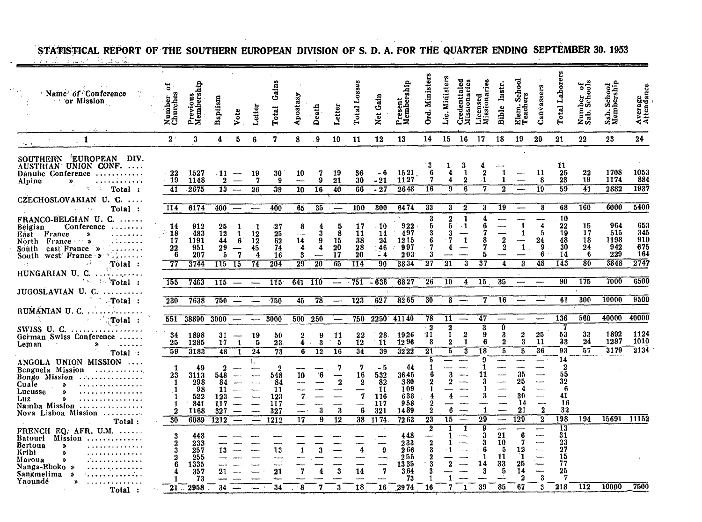| Name of Conference<br>or Mission                                                                                                                                                                                                                                                                                                                                                                                                                                                | ö<br>Number<br>Churche                      | Previous<br>Membership                                       | Baptism                                                      | Vote                                                                | Letter                     | Gain<br>Total                                     | Apostasy                                                       | Death                     | Letter                                      | Losses<br>Total                                            | Gain<br><b>Net</b>                                  | g<br>res<br>ΔŹ                                                         | <b>Minister</b><br>Ord.                        | Ministers<br>Lic.                   | Credentialed<br>Missionaries                         | Missionaries<br>Licensed       | <b>Bible</b>                                   | इ<br>$\sin$<br>ers<br>Elem.<br>Teach     | Canvassers                                                                                     | Total                                                             | her of<br>Schools<br>Numl<br>Sab. S      | Sab. School<br>Membership                | e<br>ance<br>Average<br>Attenda         |
|---------------------------------------------------------------------------------------------------------------------------------------------------------------------------------------------------------------------------------------------------------------------------------------------------------------------------------------------------------------------------------------------------------------------------------------------------------------------------------|---------------------------------------------|--------------------------------------------------------------|--------------------------------------------------------------|---------------------------------------------------------------------|----------------------------|---------------------------------------------------|----------------------------------------------------------------|---------------------------|---------------------------------------------|------------------------------------------------------------|-----------------------------------------------------|------------------------------------------------------------------------|------------------------------------------------|-------------------------------------|------------------------------------------------------|--------------------------------|------------------------------------------------|------------------------------------------|------------------------------------------------------------------------------------------------|-------------------------------------------------------------------|------------------------------------------|------------------------------------------|-----------------------------------------|
| $\cdot$ 1                                                                                                                                                                                                                                                                                                                                                                                                                                                                       | $2^+$                                       | 3.                                                           | 4 <sup>1</sup>                                               | 5                                                                   | 6                          | 7                                                 | 8                                                              | . 9                       | 10                                          | 11                                                         | 12                                                  | 13                                                                     | 14                                             | 15                                  | 16                                                   | 17                             | 18                                             | 19                                       | 20                                                                                             | 21                                                                | 22                                       | 23                                       | 24                                      |
| <b>EUROPEAN DIV.</b><br>SOUTHERN<br>AUSTRIAN UNION CONF.<br>Danube Conference<br>Alpine<br>$\rightarrow$<br>.<br>$\mathcal{V}^{\bullet}_{\mathbf{r}}$ .<br>Total :<br>$\sim$ 10                                                                                                                                                                                                                                                                                                 | 22<br>$-19$<br>41                           | 1527<br>1148<br>2675                                         | . 11<br>$\bf{2}$<br>13                                       | $\overline{\phantom{0}}$                                            | 19<br>7<br>$\overline{26}$ | 30<br>9<br>39                                     | 10<br>$\overline{10}$                                          | 9<br>$\overline{16}$      | 19<br>21<br>40                              | 36<br>30<br>66                                             | - 6<br>$-21$<br>$-27$                               | 1521<br>11 27<br>2648                                                  | 3<br>6<br>7<br>16                              | 4<br>4<br>9                         | 3<br>-1<br>$\overline{\mathbf{2}}$<br>6              |                                | 1                                              |                                          | 11<br>8<br>19                                                                                  | 11<br>25<br>23<br>59                                              | $\substack{22 \\ 19}$<br>$\overline{41}$ | 1708<br>1174<br>2882                     | 1053<br>884<br>1937                     |
| CZECHOSLOVAKIAN U. C.<br>and the control<br>Total :                                                                                                                                                                                                                                                                                                                                                                                                                             | 114                                         | 6174                                                         | 400                                                          | $\overline{\phantom{a}}$                                            | $\overline{\phantom{a}}$   | 400                                               | 65                                                             | 35                        | $\overline{a}$                              | 100                                                        | 300                                                 | 6474                                                                   | 33                                             | $3^{\circ}$                         | $\bf{2}$                                             | 3                              | 19                                             |                                          | 8                                                                                              | 68                                                                | 160                                      | 6000                                     | 5400                                    |
| FRANCO-BELGIAN U. C.<br>Belgian<br>Conference<br>East France<br>≫<br>.<br>North France »<br>.<br>$\sim$<br>South east France »<br>South west France $\mathcal{F}$ : $\ldots$<br>$\sim 10^{-1}$<br>- a j<br>Total:<br>A.                                                                                                                                                                                                                                                         | 14<br>ਂ 18<br>17<br>$\bf{22}$<br>6<br>77    | 912<br>483<br>1191<br>951<br>207<br>$\overline{3}$ 744       | 25<br>12<br>44<br>29<br>5<br>115                             | 1<br>1<br>6<br>---<br>$\overline{7}$<br>15                          | 12<br>12<br>45<br>4<br>74  | 27<br>25<br>62<br>74<br>16<br>204                 | 8<br>$\overline{\phantom{a}}$<br>14<br>4<br>3<br>29            | 4<br>g<br>4<br>20         | 5<br>8<br>15<br>20<br>17<br>65              | 17<br>11<br>38<br>28<br>20<br>114                          | - 10<br>14<br>24<br>: 46<br>- 4<br>90               | 922<br>497<br>1215<br>997<br>203<br>3834                               | 3<br>5<br>З<br>6<br>3<br>$\overline{27}$       | $\boldsymbol{2}$<br>$\overline{21}$ | -1<br>$\cdot$ 1<br>$\mathbf{1}$<br>3                 | 4<br>5<br>37                   | $\overline{2}$<br>$\overline{\mathbf{2}}$<br>4 | 1<br>1<br>$\mathbf{1}$<br>3              | 4<br>5<br>24<br>-9<br>6<br>48                                                                  | 10<br>22<br>19<br>48<br>30<br>14<br>$\overline{143}$              | $15\,$<br>-17<br>18<br>24<br>6<br>80     | 964<br>515<br>1198<br>942<br>229<br>3848 | 653<br>345<br>910<br>675<br>164<br>2747 |
| HUNGARIAN U. C. $\ldots$                                                                                                                                                                                                                                                                                                                                                                                                                                                        |                                             |                                                              |                                                              |                                                                     |                            |                                                   |                                                                |                           |                                             |                                                            |                                                     |                                                                        |                                                |                                     |                                                      |                                |                                                |                                          |                                                                                                |                                                                   |                                          |                                          |                                         |
| $\mathbf{r} \in \mathbf{r}$ and $\mathbf{r}$<br>JUGOSLAVIAN U. C.                                                                                                                                                                                                                                                                                                                                                                                                               | 155                                         | 7463                                                         | 115                                                          |                                                                     |                            | 115 <sup>1</sup>                                  | 641                                                            | <b>110</b>                | المستند                                     | 751                                                        | $-636$                                              | 6827                                                                   | 26                                             | 10                                  | 4                                                    | 15                             | 35                                             |                                          |                                                                                                | 90                                                                | 175                                      | 7000                                     | 6500                                    |
| $\overline{\phantom{a}}$ $\overline{\phantom{a}}$ $\overline{\phantom{a}}$ $\overline{\phantom{a}}$ $\overline{\phantom{a}}$ $\overline{\phantom{a}}$ $\overline{\phantom{a}}$ $\overline{\phantom{a}}$ $\overline{\phantom{a}}$ $\overline{\phantom{a}}$ $\overline{\phantom{a}}$ $\overline{\phantom{a}}$ $\overline{\phantom{a}}$ $\overline{\phantom{a}}$ $\overline{\phantom{a}}$ $\overline{\phantom{a}}$ $\overline{\phantom{a}}$ $\overline{\phantom{a}}$ $\overline{\$ | 230                                         | 7638                                                         | 750                                                          |                                                                     |                            | 750                                               | 45                                                             | 78                        | $\overline{\phantom{a}}$                    | 123                                                        | 627                                                 | 8265                                                                   | 30                                             |                                     | $8 -$                                                | 7                              | 16                                             | مست                                      |                                                                                                | 61                                                                | 300                                      | 10000                                    | 9500                                    |
| RUMÁNIAN U.C. $\dots \dots$<br>$\mathbb{Z}$ and $\mathbb{Z}$ $\mathbb{Z}$ $\mathbb{Z}$ $\mathbb{Z}$ $\mathbb{Z}$ $\mathbb{Z}$ $\mathbb{Z}$ $\mathbb{Z}$ $\mathbb{Z}$ $\mathbb{Z}$ $\mathbb{Z}$ $\mathbb{Z}$ $\mathbb{Z}$ $\mathbb{Z}$ $\mathbb{Z}$ $\mathbb{Z}$ $\mathbb{Z}$ $\mathbb{Z}$ $\mathbb{Z}$ $\mathbb{Z}$ $\mathbb{Z}$ $\mathbb{Z}$ $\mathbb{Z}$<br>$\mathcal{L}$ .                                                                                                   | 551                                         | 38890                                                        | 3000                                                         |                                                                     | -                          | 3000                                              | 500                                                            | $\overline{250}$          | $\hspace{0.05cm}$                           | 750                                                        | 2250                                                | 41140                                                                  | 78                                             | 11                                  | $\overline{\phantom{a}}$                             | 47                             |                                                |                                          |                                                                                                | 136                                                               | 560                                      | 40000                                    | 40000                                   |
| $SWISS$ U. C. $\dots\dots\dots\dots\dots\dots$<br>German Swiss Conference<br>Leman<br>$\sim$ $\sim$<br>$\lambda$<br>Total :                                                                                                                                                                                                                                                                                                                                                     | 34<br>25<br>59                              | 1898<br>1285<br>$\overline{3}$ 183                           | 31<br>17<br>48                                               | $\overline{\phantom{a}}$<br>$\mathbf{1}$<br>$\overline{\mathbf{1}}$ | 19<br>5<br>24              | 50<br>23<br>73                                    | $\boldsymbol{2}$<br>4<br>$\overline{\mathbf{6}}$               | 9<br>3<br>$\overline{12}$ | 11<br>5<br>$\overline{16}$                  | $22\,$<br>12<br>$\overline{34}$                            | 28.<br>11<br>$\overline{39}$                        | 1926<br>1296<br>$\overline{3}\overline{2}\,\overline{2}\,\overline{2}$ | $\boldsymbol{2}$<br>11<br>8<br>$\overline{21}$ | 2<br>$\mathbf{1}$<br>$\bf{2}$<br>5  | $\boldsymbol{2}$<br>1<br>3                           | 3<br>9<br>6<br>$\overline{18}$ | $\bf{0}$<br>3<br>$\bf{2}$<br>$\overline{5}$    | $\boldsymbol{2}$<br>$\bf{3}$<br>5        | 25<br>11<br>36                                                                                 | 7<br>53<br>33<br>93                                               | 33<br>24<br>57                           | 1892<br>1287<br>3179                     | 1124<br>1010<br>2134                    |
| ANGOLA UNION MISSION<br>$Benguela$ Mission $\ldots \ldots$<br>Bongo Mission $\ldots \ldots \ldots$<br>Cuale<br>$\mathbf{v}$<br>.<br>Lucusse<br>.<br>$\mathbf{v}$<br>Luz<br>. <i>.</i><br>×.<br>Namba Mission<br>Nova Lisboa Mission<br>Total:                                                                                                                                                                                                                                   | -1<br>23<br>-1<br>1<br>1<br>$\bf{2}$<br>-30 | 49<br>3113<br>298<br>98<br>522<br>-841<br>1168<br>6089       | $\mathbf{2}$<br>548<br>84<br>11<br>123<br>117<br>327<br>1212 |                                                                     | $\overline{a}$             | 2<br>548<br>84<br>11<br>123<br>117<br>327<br>1212 | 10<br>----<br>$\overline{7}$<br>$\overline{\phantom{a}}$<br>17 | '6<br>3<br>9              | 7<br>$\overline{2}$<br>3<br>$\overline{12}$ | 7<br>16<br>$\boldsymbol{2}$<br>$\boldsymbol{7}$<br>6<br>38 | - 5<br>532<br>82<br>11<br>116<br>117<br>321<br>1174 | 44<br>3645<br>380<br>109<br>638<br>958<br>1489<br>7263                 | 23                                             | 3<br>6<br>15                        | $\overline{\phantom{a}}$<br>$\overline{\phantom{a}}$ | 9<br>11<br>29                  | نسب<br>$\overline{\phantom{a}}$                | 35<br>25<br>4<br>30<br>14<br>21<br>129   | $\sim$<br>$\frac{1}{2}$<br>-<br>$\frac{1}{2}$<br><br>$\overline{2}$<br>$\overline{\mathbf{2}}$ | 14<br>$\boldsymbol{2}$<br>55<br>32<br>6<br>41<br>-16<br>32<br>198 | 194                                      | 15691 11152                              |                                         |
| FRENCH EQ. $AFR$ , U.M. $\ldots$ .<br>Batouri<br>Mission<br>Bertoua<br>. . <b>.</b><br>$\rightarrow$<br>Kribi<br>»<br>. <i>.</i><br>Maroua<br>$\rightarrow$<br>.<br>Nanga-Eboko »<br>. <i>.</i><br>Sangmelima »<br>. <b>.</b><br>Yaoundé<br>Y.<br>. . <b>.</b> .<br>Total:                                                                                                                                                                                                      | 3                                           | 448<br>233<br>257<br>255<br>1335<br>357<br>73<br>$21 - 2958$ | 13<br>34                                                     |                                                                     |                            | 13<br>21<br>34                                    | -1<br>- 8                                                      | 3                         | 3                                           | 4<br>14<br>18                                              | 9<br>7<br>16                                        | 448<br>233<br>266<br>255<br>1335<br>3.64<br>73<br>2974                 | 2<br>2<br>3<br>3<br>3<br>1<br>16               |                                     | -1<br>$\mathbf{1}$                                   | 9<br>39                        | 21<br>10<br>-5<br>11<br>$\frac{33}{5}$<br>85   | 6<br>7<br>12<br>ำ<br>25<br>14<br>2<br>67 | 3<br>3                                                                                         | $\overline{13}$<br>31<br>23<br>27<br>15<br>77<br>25<br>7<br>218   | 112                                      | 10000                                    | 7500                                    |

# **STATISTICAL REPORT OF THE SOUTHERN EUROPEAN DIVISION OF S. D. A. FOR THE QUARTER ENDING SEPTEMBER 30. 1953**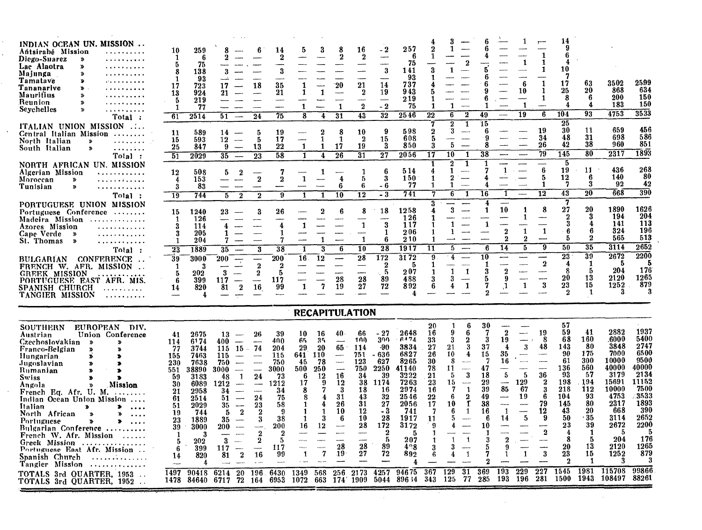$\mathcal{A}^{\mathcal{A}}$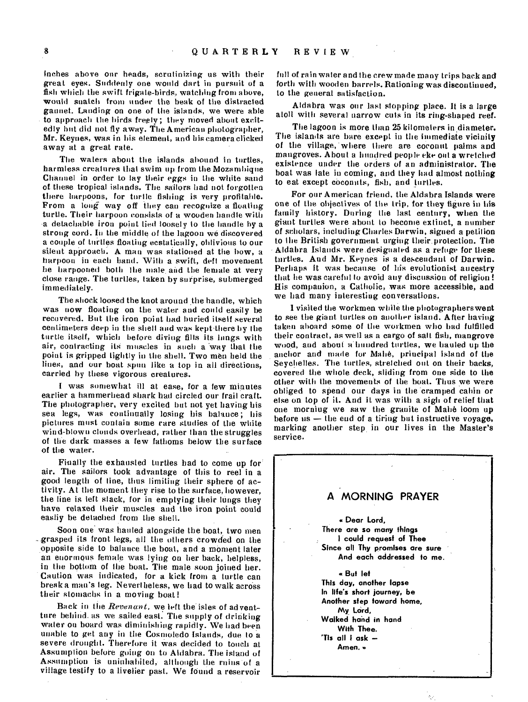inches above our heads, scrutinizing us with their great eyes. Suddenly one would dart in pursuit of a fish which the swift frigate-birds, watching from above, would snatch from under the beak of the distracted gannet. Landing on one of the islands, we were able to approach the birds freely; they moved about excitedly but did not fly away. The American photographer, Mr. Keynes, was in his element, and his camera clicked away at a great rate.

The waters about the islands abound in turtles, harmless creatures that swim up from the Mozambique Channel in order to lay their *eggs* in the white sand of these tropical islands. The sailors had not forgotten there harpoons, for turtle fishing is very profitable. From a long way off they can recognize a floating turtle. Their harpoon consists of a wooden handle with *a* detachable iron point tied loosely to the handle by a strong cord. Iii the middle of the lagoon we discovered a couple of turtles floating ecstatically, oblivious to our silent approach. A man was stationed at the bow, a harpoon in each hand. Willi *a* swift, deft movement he harpooned both the male and the female at very close range. The turtles, taken by surprise, submerged immediately.

The shock loosed the knot around the handle, which was now floating on the water and could easily be recovered. But the iron point had buried itself several centimeters deep in the shell and was kept-there by the turtle itself, which before diving fills its lungs with air, contracting its muscles in such a way that the point is gripped tightly in the shell. Two men held the lines, and our boat spun like a top in all directions, carried by these vigorous creatures.

I was somewhat ill at ease, for a few minutes earlier a hammerhead shark had circled our frail craft. The photographer, very excited but not yet having his sea legs, was continually losing his balance; his pictures must contain some rare studies of the white wind-blown clouds overhead, rather than the struggles of the dark masses a few fathoms below the surface of the water.

Finally the exhausted turtles bad to come up for' air. The sailors took advantage of this to reel in a good length of line, thus limiting their sphere of activity. At the moment they rise to the surface, however, the line is left slack, for in emptying their lungs they have relaxed their muscles and the iron point could easliy be detached from the shell.

Soon one was hauled alongside the boat, two men \_grasped its front legs, all the others crowded on the ,opposite side to balance the boat, and a moment later an enormous female was lying on her back, helpless, *in* the bottom of the boat. The male soon joined her. Caution was indicated, for a kick from a turtle can break a man's leg. Nevertheless, we had to walk across their stomachs in a moving boat!

Back in the *Revenant*, we left the isles of adventture behind as we sailed east. The supply of drinking water on board was diminishing rapidly. We had been unable to get any in the Cosmoledo Islands, due to a severe drought. Therefore it was decided to touch at Assumption before going on to Aldabra. The island of Assumption is uninhabited, although the ruins of a village testify to *a* livelier past. We found a reservoir

hill of rain water and the crew made many trips back and forth with wooden barrels. Rationing was discontinued, to the general satisfaction.

Aldabra was our last stopping place. It is a large atoll with several narrow cuts in its ring-shaped reef.

The lagoon is more than 25 kilometers in diameter. The islands are bare except in the immediate vicinity of the village, where there are coconut palms and mangroves. About a hundred people eke out a wretched existence under the orders of an administrator. The boat was late in coming, and they had almost nothing to eat except coconuts, fish, and turtles.

For our American friend, the Aldabra Islands were one of the objectives of the trip, for they figure in his family history. During the last century, when the giant turtles were about to become extinct, a number of scholars, including Charles Darwin, signed a petition to the British government urging their. protection. The Aldabra Islands were designated as a refuge for these turtles. And Mr. Keynes is a descendant of Darwin. Perhaps it was because of his evolutionist ancestry that he was careful lo avoid any discussion of religion! His companion, a Catholic, was more accessible, and we had many interesting conversations.

I visited the workmen while the plrotographerswent to see the giant turtles on another island. After having taken aboard some of the workmen who had fulfilled their contract, as well as a cargo of salt fish, mangrove wood, and about a hundred turtles, we hauled up the anchor and made for Mahe, principal island of the Seychelles. The turtles, stretched out on their backs, covered the whole deck, sliding from one side to the other with the movements of the beat. Thus we were obliged to spend our days in the 'cramped cabin or else on top of it. And it was with a sigh of relief that one morniug we saw the granite of Mahe loom up before  $us$  — the end of a tiring but instructive voyage, marking another step in our lives in the Master's service.

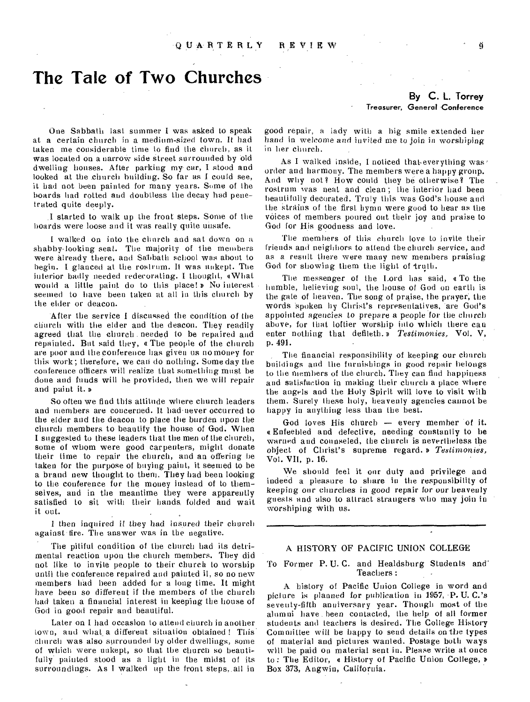# **The Tale of Two Churches**

## **By C. L. Torrey**  Treasurer, General Conference

One Sabbath last summer I was asked to speak at a certain church in a medium-sized town. It had taken me considerable time to find the church, as it was located on a narrow side street surrounded by old dwelling houses. After parking my-car, I stood and looked at the church building. So far as I could see, it had not been painted for many years. Some of the boards had rotted and doubtless the decay had penetrated quite deeply.

.1 started to walk up the front steps. Some of the boards were loose and it was really, quite unsafe.

I walked on into the church and sat down on a shabby-looking seat. The majority of the members were already there, and Sabbath school was about to begin. I glanced at the rostrum. It was unkept. The interior badly needed redecorating. I thought, «What would a little paint do to this place! » No interest seemed to have been taken at all in this church by the elder or deacon.

-After the service I discussed the condition of the church with the elder and the deacon. They readily agreed that the church needed to be repaired and repainted. But said they, a The people of the church are poor and the conference has given us no money for this work; therefore, we can do nothing. Some day the conference officers will realize that something must be done and funds will he provided, then we will repair and paint it. »

So often we find this attitude where church leaders and members are concerned. It had-never occurred to the elder and the deacon to place the burden upon the church members to beautify the house of God. When I suggested to these leaders that the men of the church, some of whom were good carpenters, might donate their time to repair the church, and an offering he taken for the purpose of buying paint, it seemed to be a brand new thought to them. They had been looking to the conference fur the money instead of to themselves, and in the meantime they were apparently satisfied to sit with their hands. folded and wait it out.

I then inquired if they bad insured their church against fire. The answer was in the negative.

The pitiful condition of the church had its detrimental reaction upon the church members. They did not like to invite people to their church to worship until the conference repaired and painted it, so no new members had been added for a long time. It might have been so different if the members of the church had taken a financial interest in keeping the house of God in good repair and beautiful.

Later on I had occasion to attend church in another town, and what a different situation obtained ! This church was also surrounded by older dwellings, some of which were unkept, so that the church so beautifully painted stood as a light in the midst of its surroundings. As I walked up the front steps,.all in

good repair, a lady with a big smile extended her hand in welcome and invited me to join in worshiping in her church.

As I walked inside, I noticed that-everything was' order and harmony. The members were a happy group. And why not? How could they be otherwise? The rostrum was neat and clean ; the interior had been beautifully decorated. Truly this was God's house and the strains of the first hymn were good to hear as the voices of members poured out their joy and praise to God for His goodness and love.

The members of this church love to invite their friends and neighbors to attend the church service, and as a result there were many new members praising God for showing them the light of truth.

The messenger of the Lord has said, «To the humble, believing soul, the house of God on earth is the gate of heaven. The song of praise, the prayer; the words Spoken by Christ's representatives, are God's appointed agencies to prepare a people for the church above, for that loftier worship into which there can enter nothing that defileth.» *Testimonies,* Vol. V, p. 491.

The financial responsibility of keeping our church buildings and the furnishings in good repair belongs to the Members of the church. They can find happiness and satisfaction in making their church a place where the angels and the Holy Spirit will love to visit with them. Surely these holy, heavenly agencies cannot be happy in anything less than the best.

God loves His church — every member 'of it. « Enfeebled and defective, needing constantly to be warned and counseled, the church is nevertheless the object of Christ's supreme regard. » Testimonies, Vol. VII, p. 16.

We should feel it our duty and privilege and indeed a pleasure to share in the responsibility of keeping our churches in good repair for our heavenly guests and also to attract strangers who may join in worshiping with us.

#### A HISTORY OF PACIFIC UNION COLLEGE

#### fo Former P. U. C. and Healdsburg Students and' Teachers:

A history of Pacific Union College in word and picture is planned for publication in 1957, P. U. C.'s seventy-fifth anniversary year. Though most of the alumni have been contacted, the help of all former students and teachers is desired. The College History Committee will be happy to send details on the types of material and pictures wanted. Postage both ways will be paid on material sent in. Please write at once to: The Editor, « History of Pacific Union College, » Box 373, Angwin, California.

ä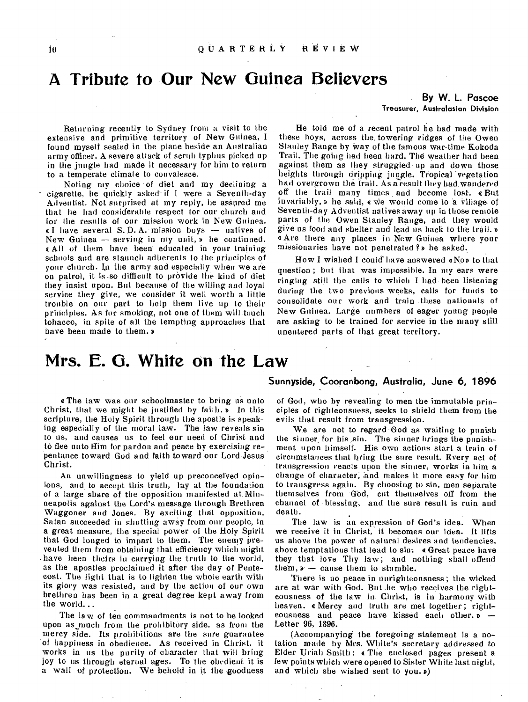# **A Tribute to Our New Guinea Believers**

Returning recently to Sydney from a visit to the extensive and primitive territory of New Guinea, I found myself seated in the plane beside an Australian army officer. A severe attack of scrub typhus picked up in the jungle had made it necessary for him to return to a temperate climate to convalesce.

Noting my choice of diet and my declining a cigarette, he quickly asked- if I were a Seventh-day Adventist. Not surprised at my reply, he assured me that he had considerable respect for our church and for the results of our mission work in New Guinea. a I have several S. D. A. mission boys — natives of New Guinea  $-$  serving in my unit,  $\triangleright$  he continued. a All of them have been educated in your training schools and are staunch adherents to the principles of your church. In the army and especially when we are on patrol, it is-so difficult to provide the kind of diet they insist upon. But because of the willing and loyal service they give, we consider it well worth a little trouble on our part to help them live up to their principles. As for smoking, not one of them will-touch tobacco, in spite of all the tempting approaches that have been made to them. »

#### **By W. L. Pascoe Treasurer, Australasian Division**

He told me of a recent patrol he had made with these boys, across the, towering ridges of the Owen Stanley Range by way of the famous war-time Kokoda Trail. The going had been hard. The weather had been against them as they struggled- up and down those heights through dripping jungle. Tropical vegetation had overgrown the trail. As a result they had wandered off the trail many times and become lost. «But invariably, p he said, a we would come to a village of Seventh-day Adventist natives away up in those remote parts of the Owen Stanley Range, and they would give us food and shelter and lead us back to the trail. » Are there any plaCes in New Guinea where your missionaries have not penetrated? » he asked.

How I wished I could have answered **«No»** to that question ; but that was impossible. In my ears were ringing still the calls to which I had- been listening during the two previous weeks, calls for funds to consolidate our work and train -these nationals of New Guinea. Large numbers of eager young people are asking to be trained for service in the many still unentered parts of that great territory.

# **Mrs. E. G. White on the Law**

The law was our schoolmaster to bring us unto Christ, that we might be justified by faith.  $\triangleright$  In this scripture, the Holy Spirit through the apostle is speaking especially of the moral law. The law reveals sin to us, and causes us to feel our need of Christ and to flee unto Him for pardon and peace by exercising repentance toward God and faith toward our Lord Jesus Christ.

An unwillingness to yield up preconceived opinions, and to accept this truth, lay at the foundation of a large share of the opposition manifested at Minneapolis against the Lord's message through Brethren Waggoner and Jones. By exciting that opposition, Satan succeeded in shutting away from our people, in a great measure, the special power of the Holy Spirit that God longed to impart to them. The enemy prevented them from obtaining that efficiency which might -have been theirs in carrying the truth to the world, as the apostles proclaimed it after the day of Pentecost. The light that is to lighten the whole earth with its glory was resisted, and by the action of our own brethren has been in a great degree kept away from the world...

The law of ten commandments is not to be looked upon as much from the prohibitory side, as from the mercy side. Its prohibitions are the sure guarantee of happiness in obedience. As received in Christ, it works in us the purity of character that will bring joy to us through eternal ages. To the obedient it is a wall of protection. We behold in it the goodness

## **Sunnyside, Cooranbong, Australia, June 6, 1896**

of God, who by revealing to men the immutable principles of righteousness, seeks to shield them from the evils that result from transgression.

We are not to regard God as waiting to punish the sinner for his sin. The sinner brings the punishment upon himself. His own actions start a train of circumstances that bring the sure result. Every act of transgression reacts upon the sinner, works' in him a change of character, and makes it more easy for him to transgress again. By choosing to sin, men separate themselves from God, cut themselves off from the channel of -blessing, and the sure result is ruin and death.

The law is an expression of God's idea. When we receive it in Christ, it becomes our idea. It lifts us above the power of natural desires and tendencies, above temptations that lead to sin:  $\alpha$  Great peace have they that love Thy law; and nothing shall offend them,  $\nu$  - cause them to stumble.

There is no peace in unrighteousness; the wicked are at war with God. But he who receives the righteousness of the law in. Christ, is in harmony with heaven. «Mercy and truth are met together; righteousness and peace have kissed each other. » -Letter 96, 1896.

(Accompanying the foregoing statement is a notation made by Mrs. White's secretary addressed to Elder Uriah Smith : a The enclosed pages present a few points which were opened to Sister White last night, and which she wished sent to you. **8)**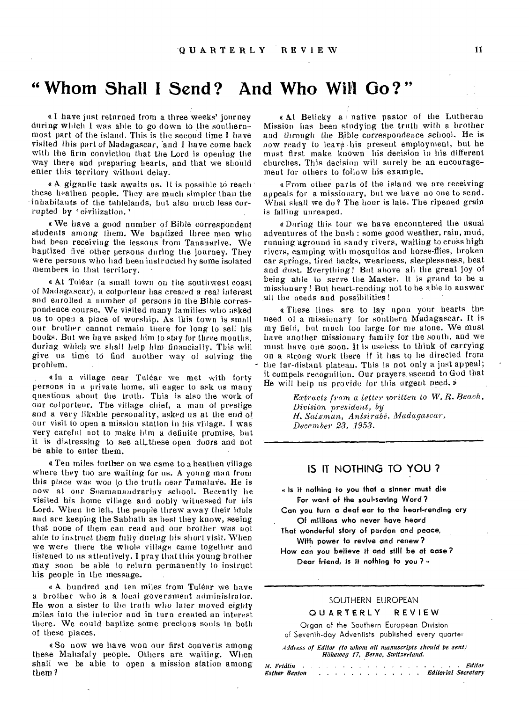# **" Whom Shall I Send? And Who Will Go?"**

e I have just returned from a three weeks' journey during which 1 was able to go down to the southernmost part of the island. This is the second time I have visited this part of Madagascar, and I have come back with the firm conviction that the Lord is opening the way there and preparing hearts, and that we should enter this territory without delay.

a A gigantic task awaits us. It is possible to reach these heathen people. They are much simpler than the - inhabitants of the tablelands, but also much less corrupted by 'civilization.'

e We have a good number of Bible correspondent students among them. We baptized three men who had been receiving the lessons from Tananarive. We baptized five other persons during the journey. They were persons who had been instructed by some isolated members in that territory.

a At Tulear (a small town on the southwest coast of Madagascar), a colporteur has created a real interest and enrolled a number of persons in the Bible correspondence course. We visited many families who asked us to open a place of worship. As this town is small our brother cannot remain there for long to sell his books. But we have asked him to stay for three months, during which we shall help him financially. This will give us time to find another way of solving the problem.

e In a village near Tulear we met with forty persons in a private home, all eager to ask us many questions about the truth. This is also the work of our colporteur. The village chief, a man of prestige and a very likable personality, asked us at the end of our visit to open a mission station in his village. I was very careful not to make him a definite promise, but it is distressing to see alLthese open doors and not be able to enter them.

e Ten miles further on we came to a heathen village where they too are waiting for us. A young man from this place was won to the truth near Tamalaye. He is now at our Soamanandrariny school. Recently he visited his home village and nobly witnessed for his Lord. When he left, the people threw away their idols and are keeping the Sabbath as best they know, seeing that none of them can read and our brother was not able to instruct them fully during his short visit. When we were there the whole village came together and listened to us attentively. I pray that this young brother may soon be able to return permanently to instruct his people in the message.

e A hundred and Len miles from TuTear we have a brother who is a local government administrator. He won a sister to the truth who later moved eighty miles into the interior and in turn created an interest there. We could baptize some precious souls in both of these places.

e So now we have won our first converts among these Mahafaly people. Others are waiting. When shall we be able to open a mission station among them ?

« At Beticky a mative pastor of the Lutheran Mission has been studying the truth with a brother and through the Bible correspondence school. He is now ready to leave his present employment, but he must first make known his decision in his different churches. This decision will surely be an encouragement for others to follow his example.

'.From other parts of the island we are receiving appeals for a missionary, but we have no one to send. What shall we do? The hour is late. The ripened grain is falling unreaped.

e Daring this tour we have encountered the usual adventures of the bush : some good weather, rain, mud, running aground in sandy rivers, waiting to cross high rivers, camping with mosquitos and horse-flies, broken car springs, tired backs, weariness, sleeplessness, heat and dust. Everything! But above all the great joy of being able to serve the. Master. It is grand to be a missionary ! But heart-rending not to he able to answer .all the needs and possibilities!

o These lines are to lay upon your hearts the need of a missionary for southern Madagascar. It is my field, but much too large for me alone. We must have another missionary family for the south, and we must have one soon. It is useless to think of carrying on a strong work there if it has to he directed from the far-distant plateau. This is not only a just appeal; it compels recognition. Our prayers. ascend to God that He will help us provide for this urgent need. »

> *Extracts from a letter written to W. R. Beach, Division president, by H. Salzman, Antsirabo, Madagascar, December 23, 1953.*

## IS IT NOTHING TO YOU ?

« Is it nothing to you that a sinner must die For want of the soul-saving Word ?

Can you turn a deaf ear to the heart-rending cry Of millions who never have heard

That wonderful story of pardon and peace,

With power to revive and renew? How can you believe if and still be at ease? Dear friend, is it nothing to you? »

## SOUTHERN EUROPEAN

## QUARTERLY REVIEW

Organ of the Southern European Division of Seventh-day Adventists published every quarter

Address of Editor (to whom all manuscripts should be sent) Höheweg 17, Berne, Switzerland.

Fridlin Esther Benton Editor . . . . . . . . . . Editorial Secretary